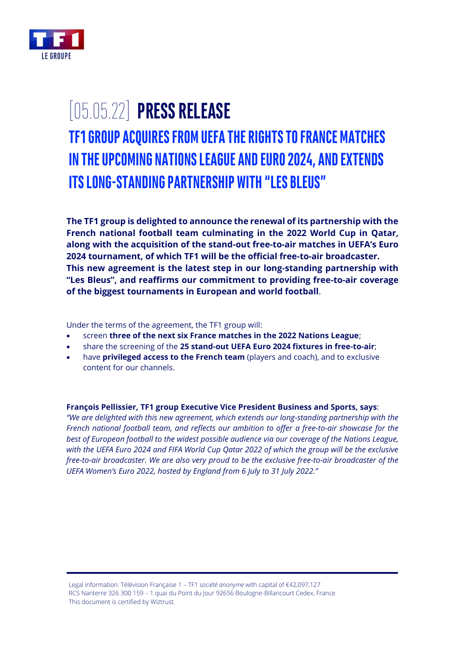

## [05.05.22] **PRESS RELEASE TF1 GROUP ACQUIRES FROM UEFA THE RIGHTS TO FRANCE MATCHES IN THE UPCOMING NATIONS LEAGUE AND EURO 2024, AND EXTENDS ITS LONG-STANDING PARTNERSHIP WITH "LES BLEUS"**

**The TF1 group is delighted to announce the renewal of its partnership with the French national football team culminating in the 2022 World Cup in Qatar, along with the acquisition of the stand-out free-to-air matches in UEFA's Euro 2024 tournament, of which TF1 will be the official free-to-air broadcaster. This new agreement is the latest step in our long-standing partnership with "Les Bleus", and reaffirms our commitment to providing free-to-air coverage of the biggest tournaments in European and world football**.

Under the terms of the agreement, the TF1 group will:

- screen **three of the next six France matches in the 2022 Nations League**;
- share the screening of the **25 stand-out UEFA Euro 2024 fixtures in free-to-air**;
- have **privileged access to the French team** (players and coach), and to exclusive content for our channels.

## **François Pellissier, TF1 group Executive Vice President Business and Sports, says**:

*"We are delighted with this new agreement, which extends our long-standing partnership with the French national football team, and reflects our ambition to offer a free-to-air showcase for the best of European football to the widest possible audience via our coverage of the Nations League, with the UEFA Euro 2024 and FIFA World Cup Qatar 2022 of which the group will be the exclusive free-to-air broadcaster. We are also very proud to be the exclusive free-to-air broadcaster of the UEFA Women's Euro 2022, hosted by England from 6 July to 31 July 2022."*

Legal information: Télévision Française 1 – TF1 *société anonyme* with capital of €42,097,127 RCS Nanterre 326 300 159 – 1 quai du Point du Jour 92656 Boulogne-Billancourt Cedex, France This document is certified by Wiztrust.